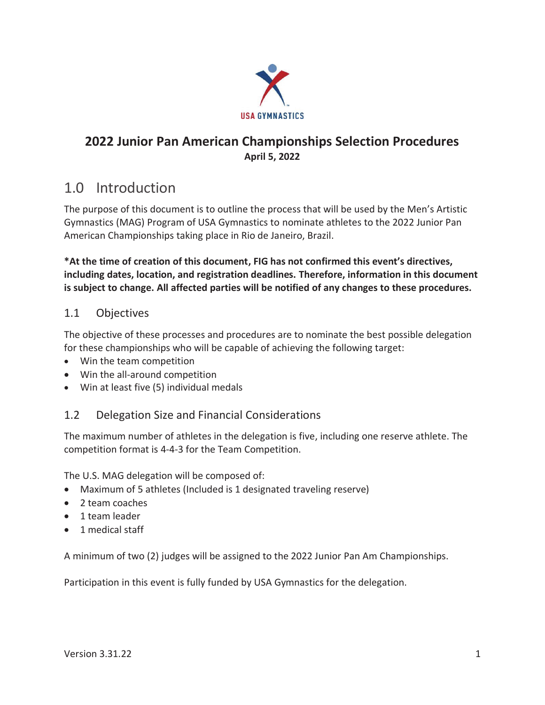

### 2022 Junior Pan American Championships Selection Procedures **April 5, 2022**

## 1.0 Introduction

The purpose of this document is to outline the process that will be used by the Men's Artistic Gymnastics (MAG) Program of USA Gymnastics to nominate athletes to the 2022 Junior Pan American Championships taking place in Rio de Janeiro, Brazil.

\*At the time of creation of this document, FIG has not confirmed this event's directives, including dates, location, and registration deadlines. Therefore, information in this document is subject to change. All affected parties will be notified of any changes to these procedures.

#### $1.1$ **Objectives**

The objective of these processes and procedures are to nominate the best possible delegation for these championships who will be capable of achieving the following target:

- Win the team competition
- Win the all-around competition
- Win at least five (5) individual medals

#### $1.2$ Delegation Size and Financial Considerations

The maximum number of athletes in the delegation is five, including one reserve athlete. The competition format is 4-4-3 for the Team Competition.

The U.S. MAG delegation will be composed of:

- Maximum of 5 athletes (Included is 1 designated traveling reserve)
- 2 team coaches
- 1 team leader
- 1 medical staff

A minimum of two (2) judges will be assigned to the 2022 Junior Pan Am Championships.

Participation in this event is fully funded by USA Gymnastics for the delegation.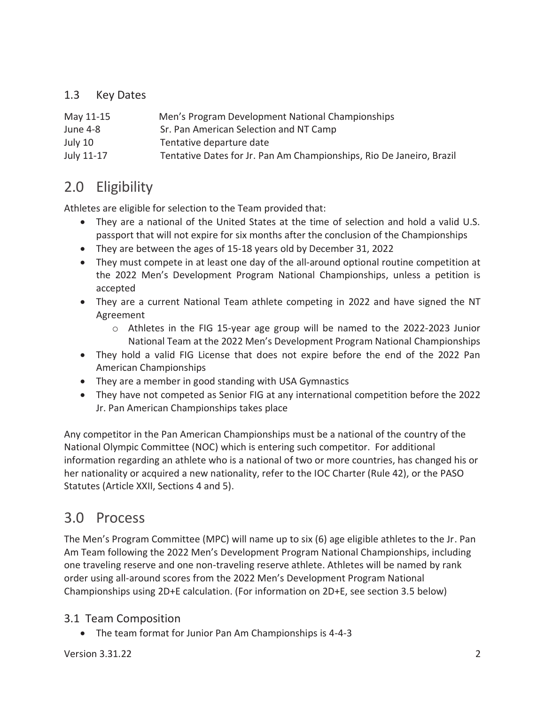#### $1.3$ **Key Dates**

| May 11-15  | Men's Program Development National Championships                     |
|------------|----------------------------------------------------------------------|
| June 4-8   | Sr. Pan American Selection and NT Camp                               |
| July 10    | Tentative departure date                                             |
| July 11-17 | Tentative Dates for Jr. Pan Am Championships, Rio De Janeiro, Brazil |

# 2.0 Eligibility

Athletes are eligible for selection to the Team provided that:

- They are a national of the United States at the time of selection and hold a valid U.S. passport that will not expire for six months after the conclusion of the Championships
- They are between the ages of 15-18 years old by December 31, 2022
- They must compete in at least one day of the all-around optional routine competition at the 2022 Men's Development Program National Championships, unless a petition is accepted
- They are a current National Team athlete competing in 2022 and have signed the NT Agreement
	- o Athletes in the FIG 15-year age group will be named to the 2022-2023 Junior National Team at the 2022 Men's Development Program National Championships
- They hold a valid FIG License that does not expire before the end of the 2022 Pan American Championships
- They are a member in good standing with USA Gymnastics
- They have not competed as Senior FIG at any international competition before the 2022 Jr. Pan American Championships takes place

Any competitor in the Pan American Championships must be a national of the country of the National Olympic Committee (NOC) which is entering such competitor. For additional information regarding an athlete who is a national of two or more countries, has changed his or her nationality or acquired a new nationality, refer to the IOC Charter (Rule 42), or the PASO Statutes (Article XXII, Sections 4 and 5).

## 3.0 Process

The Men's Program Committee (MPC) will name up to six (6) age eligible athletes to the Jr. Pan Am Team following the 2022 Men's Development Program National Championships, including one traveling reserve and one non-traveling reserve athlete. Athletes will be named by rank order using all-around scores from the 2022 Men's Development Program National Championships using 2D+E calculation. (For information on 2D+E, see section 3.5 below)

### 3.1 Team Composition

• The team format for Junior Pan Am Championships is 4-4-3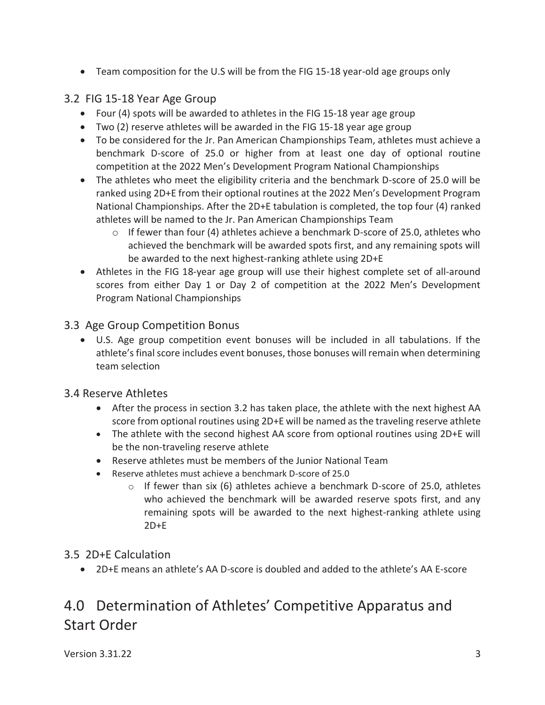• Team composition for the U.S will be from the FIG 15-18 year-old age groups only

### 3.2 FIG 15-18 Year Age Group

- Four (4) spots will be awarded to athletes in the FIG 15-18 year age group
- Two (2) reserve athletes will be awarded in the FIG 15-18 year age group
- To be considered for the Jr. Pan American Championships Team, athletes must achieve a benchmark D-score of 25.0 or higher from at least one day of optional routine competition at the 2022 Men's Development Program National Championships
- The athletes who meet the eligibility criteria and the benchmark D-score of 25.0 will be ranked using 2D+E from their optional routines at the 2022 Men's Development Program National Championships. After the 2D+E tabulation is completed, the top four (4) ranked athletes will be named to the Jr. Pan American Championships Team
	- $\circ$  If fewer than four (4) athletes achieve a benchmark D-score of 25.0, athletes who achieved the benchmark will be awarded spots first, and any remaining spots will be awarded to the next highest-ranking athlete using 2D+E
- Athletes in the FIG 18-year age group will use their highest complete set of all-around scores from either Day 1 or Day 2 of competition at the 2022 Men's Development Program National Championships

#### 3.3 Age Group Competition Bonus

• U.S. Age group competition event bonuses will be included in all tabulations. If the athlete's final score includes event bonuses, those bonuses will remain when determining team selection

#### 3.4 Reserve Athletes

- After the process in section 3.2 has taken place, the athlete with the next highest AA score from optional routines using 2D+E will be named as the traveling reserve athlete
- The athlete with the second highest AA score from optional routines using 2D+E will be the non-traveling reserve athlete
- Reserve athletes must be members of the Junior National Team
- Reserve athletes must achieve a benchmark D-score of 25.0
	- If fewer than six (6) athletes achieve a benchmark D-score of 25.0, athletes  $\circ$ who achieved the benchmark will be awarded reserve spots first, and any remaining spots will be awarded to the next highest-ranking athlete using  $2D+E$

### 3.5 2D+E Calculation

• 2D+E means an athlete's AA D-score is doubled and added to the athlete's AA E-score

# 4.0 Determination of Athletes' Competitive Apparatus and **Start Order**

Version 3.31.22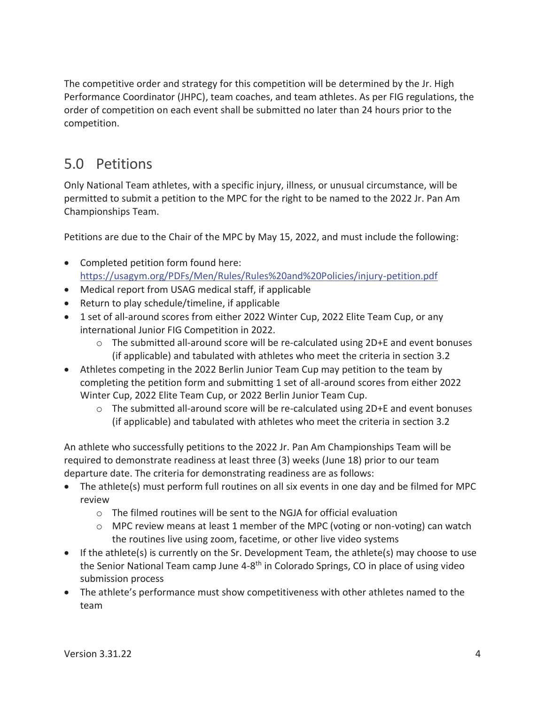The competitive order and strategy for this competition will be determined by the Jr. High Performance Coordinator (JHPC), team coaches, and team athletes. As per FIG regulations, the order of competition on each event shall be submitted no later than 24 hours prior to the competition.

# 5.0 Petitions

Only National Team athletes, with a specific injury, illness, or unusual circumstance, will be permitted to submit a petition to the MPC for the right to be named to the 2022 Jr. Pan Am Championships Team.

Petitions are due to the Chair of the MPC by May 15, 2022, and must include the following:

- Completed petition form found here: https://usagym.org/PDFs/Men/Rules/Rules%20and%20Policies/injury-petition.pdf
- Medical report from USAG medical staff, if applicable
- Return to play schedule/timeline, if applicable
- 1 set of all-around scores from either 2022 Winter Cup, 2022 Elite Team Cup, or any international Junior FIG Competition in 2022.
	- o The submitted all-around score will be re-calculated using 2D+E and event bonuses (if applicable) and tabulated with athletes who meet the criteria in section 3.2
- Athletes competing in the 2022 Berlin Junior Team Cup may petition to the team by completing the petition form and submitting 1 set of all-around scores from either 2022 Winter Cup, 2022 Elite Team Cup, or 2022 Berlin Junior Team Cup.
	- $\circ$  The submitted all-around score will be re-calculated using 2D+E and event bonuses (if applicable) and tabulated with athletes who meet the criteria in section 3.2

An athlete who successfully petitions to the 2022 Jr. Pan Am Championships Team will be required to demonstrate readiness at least three (3) weeks (June 18) prior to our team departure date. The criteria for demonstrating readiness are as follows:

- The athlete(s) must perform full routines on all six events in one day and be filmed for MPC review
	- o The filmed routines will be sent to the NGJA for official evaluation
	- $\circ$  MPC review means at least 1 member of the MPC (voting or non-voting) can watch the routines live using zoom, facetime, or other live video systems
- If the athlete(s) is currently on the Sr. Development Team, the athlete(s) may choose to use the Senior National Team camp June 4-8<sup>th</sup> in Colorado Springs, CO in place of using video submission process
- The athlete's performance must show competitiveness with other athletes named to the team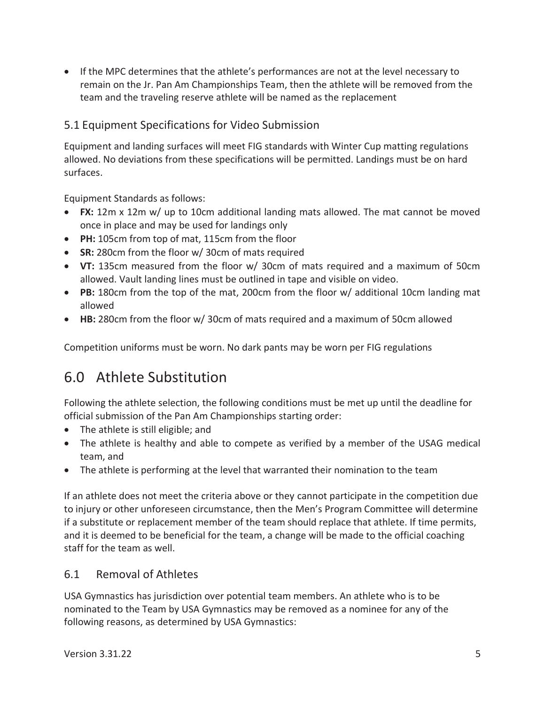• If the MPC determines that the athlete's performances are not at the level necessary to remain on the Jr. Pan Am Championships Team, then the athlete will be removed from the team and the traveling reserve athlete will be named as the replacement

#### 5.1 Equipment Specifications for Video Submission

Equipment and landing surfaces will meet FIG standards with Winter Cup matting regulations allowed. No deviations from these specifications will be permitted. Landings must be on hard surfaces.

Equipment Standards as follows:

- FX: 12m x 12m w/ up to 10cm additional landing mats allowed. The mat cannot be moved once in place and may be used for landings only
- PH: 105cm from top of mat, 115cm from the floor
- SR: 280cm from the floor w/30cm of mats required
- VT: 135cm measured from the floor w/ 30cm of mats required and a maximum of 50cm allowed. Vault landing lines must be outlined in tape and visible on video.
- PB: 180cm from the top of the mat, 200cm from the floor w/ additional 10cm landing mat allowed
- HB: 280cm from the floor w/ 30cm of mats required and a maximum of 50cm allowed

Competition uniforms must be worn. No dark pants may be worn per FIG regulations

## 6.0 Athlete Substitution

Following the athlete selection, the following conditions must be met up until the deadline for official submission of the Pan Am Championships starting order:

- The athlete is still eligible; and
- The athlete is healthy and able to compete as verified by a member of the USAG medical team, and
- The athlete is performing at the level that warranted their nomination to the team

If an athlete does not meet the criteria above or they cannot participate in the competition due to injury or other unforeseen circumstance, then the Men's Program Committee will determine if a substitute or replacement member of the team should replace that athlete. If time permits, and it is deemed to be beneficial for the team, a change will be made to the official coaching staff for the team as well.

#### $6.1$ **Removal of Athletes**

USA Gymnastics has jurisdiction over potential team members. An athlete who is to be nominated to the Team by USA Gymnastics may be removed as a nominee for any of the following reasons, as determined by USA Gymnastics: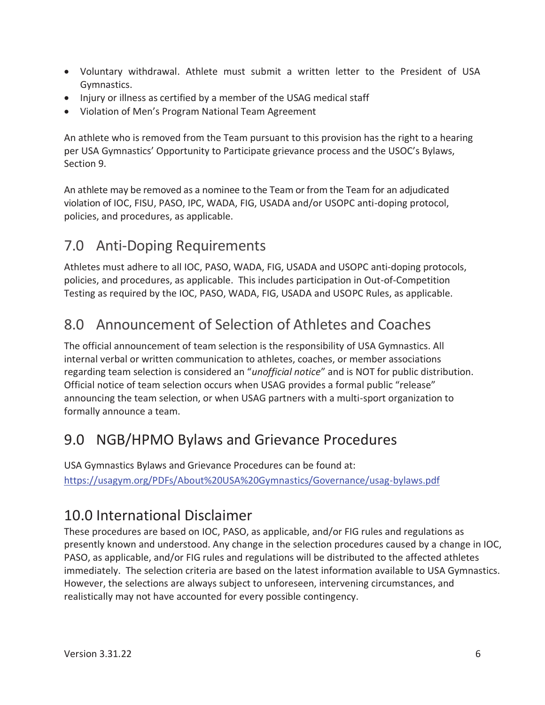- Voluntary withdrawal. Athlete must submit a written letter to the President of USA Gymnastics.
- Injury or illness as certified by a member of the USAG medical staff
- Violation of Men's Program National Team Agreement

An athlete who is removed from the Team pursuant to this provision has the right to a hearing per USA Gymnastics' Opportunity to Participate grievance process and the USOC's Bylaws, Section 9.

An athlete may be removed as a nominee to the Team or from the Team for an adjudicated violation of IOC, FISU, PASO, IPC, WADA, FIG, USADA and/or USOPC anti-doping protocol, policies, and procedures, as applicable.

#### **Anti-Doping Requirements**  $7.0$

Athletes must adhere to all IOC, PASO, WADA, FIG, USADA and USOPC anti-doping protocols, policies, and procedures, as applicable. This includes participation in Out-of-Competition Testing as required by the IOC, PASO, WADA, FIG, USADA and USOPC Rules, as applicable.

#### Announcement of Selection of Athletes and Coaches  $8.0$

The official announcement of team selection is the responsibility of USA Gymnastics. All internal verbal or written communication to athletes, coaches, or member associations regarding team selection is considered an "unofficial notice" and is NOT for public distribution. Official notice of team selection occurs when USAG provides a formal public "release" announcing the team selection, or when USAG partners with a multi-sport organization to formally announce a team.

# 9.0 NGB/HPMO Bylaws and Grievance Procedures

USA Gymnastics Bylaws and Grievance Procedures can be found at: https://usagym.org/PDFs/About%20USA%20Gymnastics/Governance/usag-bylaws.pdf

## 10.0 International Disclaimer

These procedures are based on IOC, PASO, as applicable, and/or FIG rules and regulations as presently known and understood. Any change in the selection procedures caused by a change in IOC, PASO, as applicable, and/or FIG rules and regulations will be distributed to the affected athletes immediately. The selection criteria are based on the latest information available to USA Gymnastics. However, the selections are always subject to unforeseen, intervening circumstances, and realistically may not have accounted for every possible contingency.